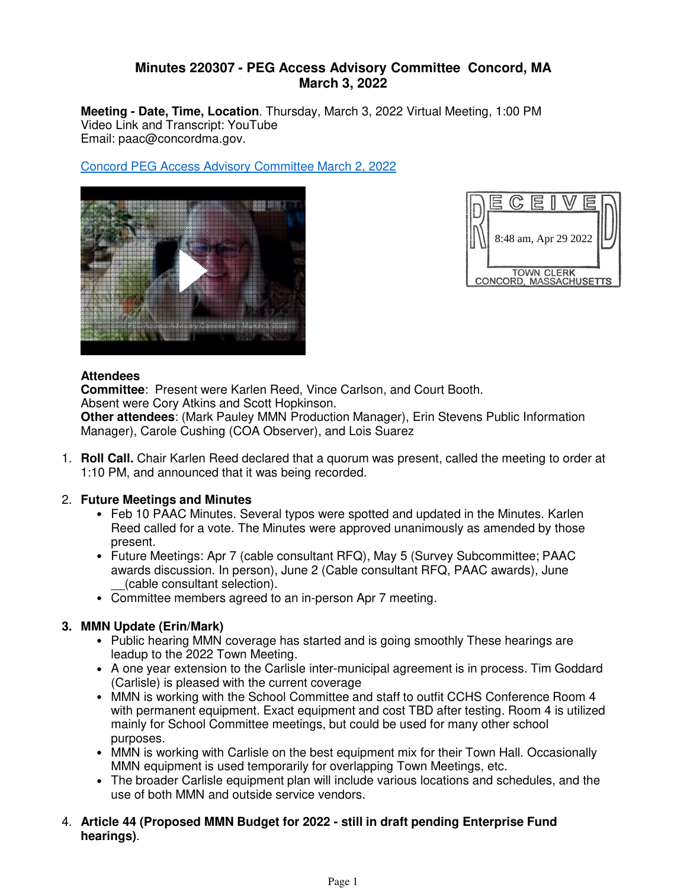# **Minutes 220307 - PEG Access Advisory Committee Concord, MA March 3, 2022**

**Meeting - Date, Time, Location**. Thursday, March 3, 2022 Virtual Meeting, 1:00 PM Video Link and Transcript: YouTube Email: paac@concordma.gov.

Concord PEG Access Advisory Committee March 2, 2022





#### **Attendees**

**Committee**: Present were Karlen Reed, Vince Carlson, and Court Booth. Absent were Cory Atkins and Scott Hopkinson. **Other attendees**: (Mark Pauley MMN Production Manager), Erin Stevens Public Information Manager), Carole Cushing (COA Observer), and Lois Suarez

**Roll Call.** Chair Karlen Reed declared that a quorum was present, called the meeting to order at 1. 1:10 PM, and announced that it was being recorded.

### **Future Meetings and Minutes** 2.

- Feb 10 PAAC Minutes. Several typos were spotted and updated in the Minutes. Karlen Reed called for a vote. The Minutes were approved unanimously as amended by those present.
- Future Meetings: Apr 7 (cable consultant RFQ), May 5 (Survey Subcommittee; PAAC awards discussion. In person), June 2 (Cable consultant RFQ, PAAC awards), June \_\_(cable consultant selection).
- Committee members agreed to an in-person Apr 7 meeting.

# **MMN Update (Erin/Mark) 3.**

- Public hearing MMN coverage has started and is going smoothly These hearings are leadup to the 2022 Town Meeting.
- A one year extension to the Carlisle inter-municipal agreement is in process. Tim Goddard (Carlisle) is pleased with the current coverage
- MMN is working with the School Committee and staff to outfit CCHS Conference Room 4 with permanent equipment. Exact equipment and cost TBD after testing. Room 4 is utilized mainly for School Committee meetings, but could be used for many other school purposes.
- MMN is working with Carlisle on the best equipment mix for their Town Hall. Occasionally MMN equipment is used temporarily for overlapping Town Meetings, etc.
- The broader Carlisle equipment plan will include various locations and schedules, and the use of both MMN and outside service vendors.
- **Article 44 (Proposed MMN Budget for 2022 - still in draft pending Enterprise Fund**  4. **hearings)**. • Kate Hodges' draft special fund budget of \$435K plus capital expenditures is very similar